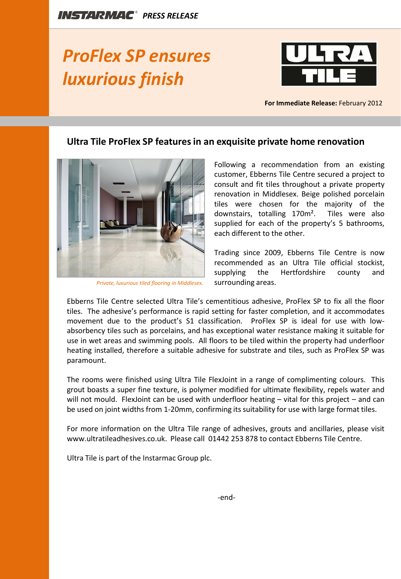## *ProFlex SP ensures luxurious finish*



**For Immediate Release:** February 2012

## **Ultra Tile ProFlex SP features in an exquisite private home renovation**



*Private, luxurious tiled flooring in Middlesex.* 

Following a recommendation from an existing customer, Ebberns Tile Centre secured a project to consult and fit tiles throughout a private property renovation in Middlesex. Beige polished porcelain tiles were chosen for the majority of the downstairs, totalling 170m². Tiles were also supplied for each of the property's 5 bathrooms, each different to the other.

Trading since 2009, Ebberns Tile Centre is now recommended as an Ultra Tile official stockist, supplying the Hertfordshire county and surrounding areas.

Ebberns Tile Centre selected Ultra Tile's cementitious adhesive, ProFlex SP to fix all the floor tiles. The adhesive's performance is rapid setting for faster completion, and it accommodates movement due to the product's S1 classification. ProFlex SP is ideal for use with lowabsorbency tiles such as porcelains, and has exceptional water resistance making it suitable for use in wet areas and swimming pools. All floors to be tiled within the property had underfloor heating installed, therefore a suitable adhesive for substrate and tiles, such as ProFlex SP was paramount.

The rooms were finished using Ultra Tile FlexJoint in a range of complimenting colours. This grout boasts a super fine texture, is polymer modified for ultimate flexibility, repels water and will not mould. FlexJoint can be used with underfloor heating – vital for this project – and can be used on joint widths from 1-20mm, confirming its suitability for use with large format tiles.

For more information on the Ultra Tile range of adhesives, grouts and ancillaries, please visit www.ultratileadhesives.co.uk. Please call 01442 253 878 to contact Ebberns Tile Centre.

Ultra Tile is part of the Instarmac Group plc.